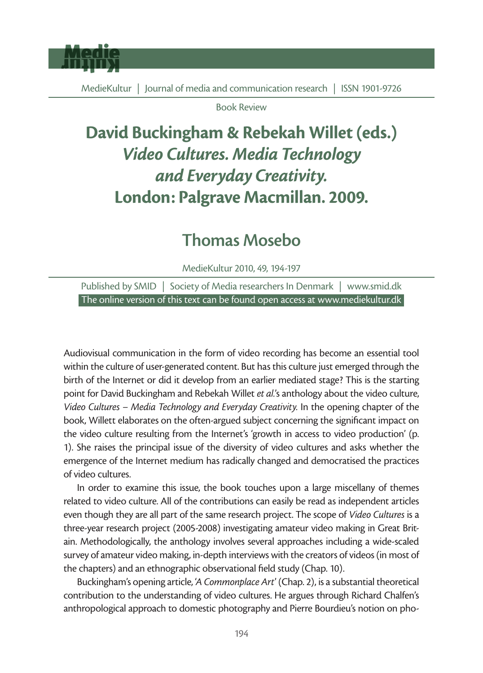

Book Review

## David Buckingham & Rebekah Willet (eds.) *Video Cultures. Media Technology and Everyday Creativity.* London: Palgrave Macmillan. 2009.

## Thomas Mosebo

MedieKultur 2010, 49, 194-197

Published by SMID | Society of Media researchers In Denmark | www.smid.dk The online version of this text can be found open access at www.mediekultur.dk

Audiovisual communication in the form of video recording has become an essential tool within the culture of user-generated content. But has this culture just emerged through the birth of the Internet or did it develop from an earlier mediated stage? This is the starting point for David Buckingham and Rebekah Willet *et al.*'s anthology about the video culture, *Video Cultures – Media Technology and Everyday Creativity.* In the opening chapter of the book, Willett elaborates on the often-argued subject concerning the significant impact on the video culture resulting from the Internet's 'growth in access to video production' (p. 1). She raises the principal issue of the diversity of video cultures and asks whether the emergence of the Internet medium has radically changed and democratised the practices of video cultures.

In order to examine this issue, the book touches upon a large miscellany of themes related to video culture. All of the contributions can easily be read as independent articles even though they are all part of the same research project. The scope of *Video Cultures* is a three-year research project (2005-2008) investigating amateur video making in Great Britain. Methodologically, the anthology involves several approaches including a wide-scaled survey of amateur video making, in-depth interviews with the creators of videos (in most of the chapters) and an ethnographic observational field study (Chap. 10).

Buckingham's opening article, '*A Commonplace Art*' (Chap. 2), is a substantial theoretical contribution to the understanding of video cultures. He argues through Richard Chalfen's anthropological approach to domestic photography and Pierre Bourdieu's notion on pho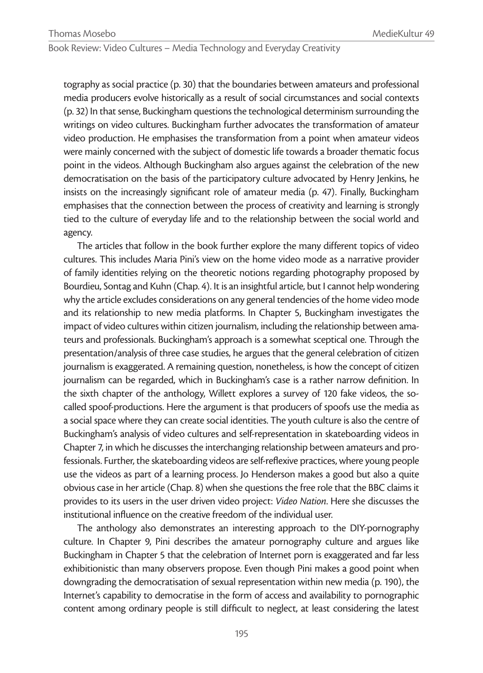Book Review: Video Cultures – Media Technology and Everyday Creativity

tography as social practice (p. 30) that the boundaries between amateurs and professional media producers evolve historically as a result of social circumstances and social contexts (p. 32) In that sense, Buckingham questions the technological determinism surrounding the writings on video cultures. Buckingham further advocates the transformation of amateur video production. He emphasises the transformation from a point when amateur videos were mainly concerned with the subject of domestic life towards a broader thematic focus point in the videos. Although Buckingham also argues against the celebration of the new democratisation on the basis of the participatory culture advocated by Henry Jenkins, he insists on the increasingly significant role of amateur media (p. 47). Finally, Buckingham emphasises that the connection between the process of creativity and learning is strongly tied to the culture of everyday life and to the relationship between the social world and agency.

The articles that follow in the book further explore the many different topics of video cultures. This includes Maria Pini's view on the home video mode as a narrative provider of family identities relying on the theoretic notions regarding photography proposed by Bourdieu, Sontag and Kuhn (Chap. 4). It is an insightful article, but I cannot help wondering why the article excludes considerations on any general tendencies of the home video mode and its relationship to new media platforms. In Chapter 5, Buckingham investigates the impact of video cultures within citizen journalism, including the relationship between amateurs and professionals. Buckingham's approach is a somewhat sceptical one. Through the presentation/analysis of three case studies, he argues that the general celebration of citizen journalism is exaggerated. A remaining question, nonetheless, is how the concept of citizen journalism can be regarded, which in Buckingham's case is a rather narrow definition. In the sixth chapter of the anthology, Willett explores a survey of 120 fake videos, the socalled spoof-productions. Here the argument is that producers of spoofs use the media as a social space where they can create social identities. The youth culture is also the centre of Buckingham's analysis of video cultures and self-representation in skateboarding videos in Chapter 7, in which he discusses the interchanging relationship between amateurs and professionals. Further, the skateboarding videos are self-reflexive practices, where young people use the videos as part of a learning process. Jo Henderson makes a good but also a quite obvious case in her article (Chap. 8) when she questions the free role that the BBC claims it provides to its users in the user driven video project: *Video Nation*. Here she discusses the institutional influence on the creative freedom of the individual user.

The anthology also demonstrates an interesting approach to the DIY-pornography culture. In Chapter 9, Pini describes the amateur pornography culture and argues like Buckingham in Chapter 5 that the celebration of Internet porn is exaggerated and far less exhibitionistic than many observers propose. Even though Pini makes a good point when downgrading the democratisation of sexual representation within new media (p. 190), the Internet's capability to democratise in the form of access and availability to pornographic content among ordinary people is still difficult to neglect, at least considering the latest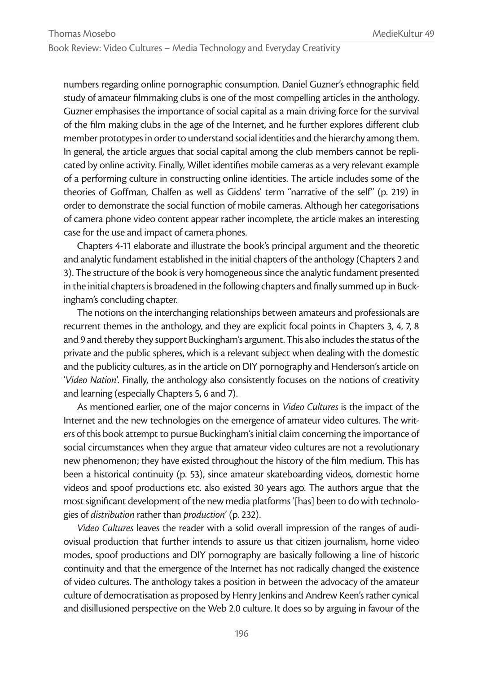## Book Review: Video Cultures – Media Technology and Everyday Creativity

numbers regarding online pornographic consumption. Daniel Guzner's ethnographic field study of amateur filmmaking clubs is one of the most compelling articles in the anthology. Guzner emphasises the importance of social capital as a main driving force for the survival of the film making clubs in the age of the Internet, and he further explores different club member prototypes in order to understand social identities and the hierarchy among them. In general, the article argues that social capital among the club members cannot be replicated by online activity. Finally, Willet identifies mobile cameras as a very relevant example of a performing culture in constructing online identities. The article includes some of the theories of Goffman, Chalfen as well as Giddens' term "narrative of the self" (p. 219) in order to demonstrate the social function of mobile cameras. Although her categorisations of camera phone video content appear rather incomplete, the article makes an interesting case for the use and impact of camera phones.

Chapters 4-11 elaborate and illustrate the book's principal argument and the theoretic and analytic fundament established in the initial chapters of the anthology (Chapters 2 and 3). The structure of the book is very homogeneous since the analytic fundament presented in the initial chapters is broadened in the following chapters and finally summed up in Buckingham's concluding chapter.

The notions on the interchanging relationships between amateurs and professionals are recurrent themes in the anthology, and they are explicit focal points in Chapters 3, 4, 7, 8 and 9 and thereby they support Buckingham's argument. This also includes the status of the private and the public spheres, which is a relevant subject when dealing with the domestic and the publicity cultures, as in the article on DIY pornography and Henderson's article on '*Video Nation*'. Finally, the anthology also consistently focuses on the notions of creativity and learning (especially Chapters 5, 6 and 7).

As mentioned earlier, one of the major concerns in *Video Cultures* is the impact of the Internet and the new technologies on the emergence of amateur video cultures. The writers of this book attempt to pursue Buckingham's initial claim concerning the importance of social circumstances when they argue that amateur video cultures are not a revolutionary new phenomenon; they have existed throughout the history of the film medium. This has been a historical continuity (p. 53), since amateur skateboarding videos, domestic home videos and spoof productions etc. also existed 30 years ago. The authors argue that the most significant development of the new media platforms '[has] been to do with technologies of *distribution* rather than *production*' (p. 232).

*Video Cultures* leaves the reader with a solid overall impression of the ranges of audiovisual production that further intends to assure us that citizen journalism, home video modes, spoof productions and DIY pornography are basically following a line of historic continuity and that the emergence of the Internet has not radically changed the existence of video cultures. The anthology takes a position in between the advocacy of the amateur culture of democratisation as proposed by Henry Jenkins and Andrew Keen's rather cynical and disillusioned perspective on the Web 2.0 culture. It does so by arguing in favour of the